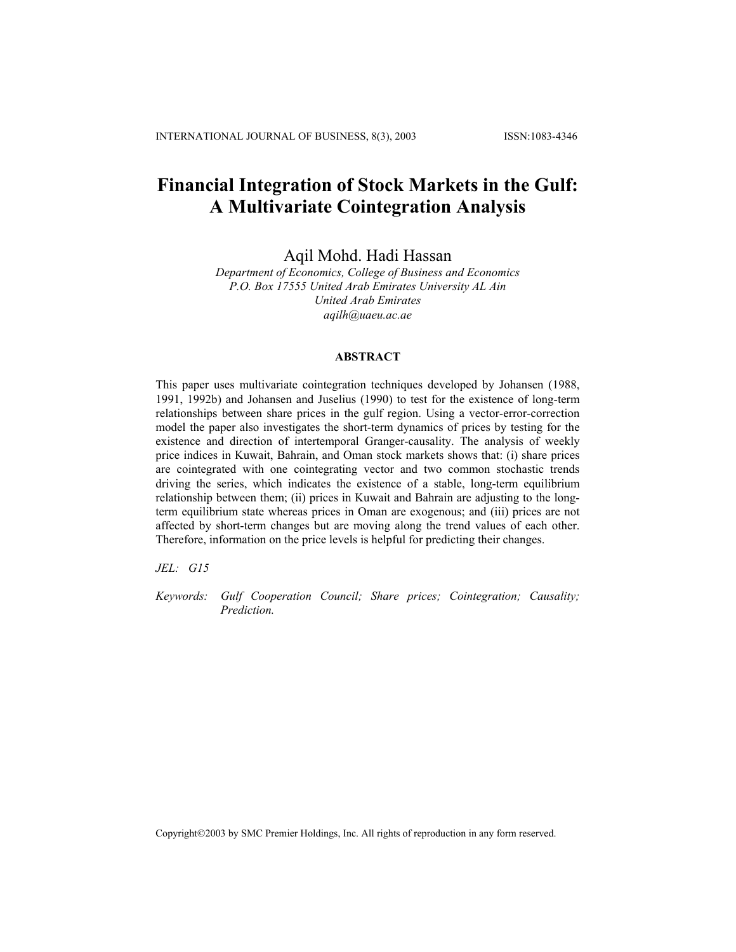# **Financial Integration of Stock Markets in the Gulf: A Multivariate Cointegration Analysis**

Aqil Mohd. Hadi Hassan

*Department of Economics, College of Business and Economics P.O. Box 17555 United Arab Emirates University AL Ain United Arab Emirates aqilh@uaeu.ac.ae* 

## **ABSTRACT**

This paper uses multivariate cointegration techniques developed by Johansen (1988, 1991, 1992b) and Johansen and Juselius (1990) to test for the existence of long-term relationships between share prices in the gulf region. Using a vector-error-correction model the paper also investigates the short-term dynamics of prices by testing for the existence and direction of intertemporal Granger-causality. The analysis of weekly price indices in Kuwait, Bahrain, and Oman stock markets shows that: (i) share prices are cointegrated with one cointegrating vector and two common stochastic trends driving the series, which indicates the existence of a stable, long-term equilibrium relationship between them; (ii) prices in Kuwait and Bahrain are adjusting to the longterm equilibrium state whereas prices in Oman are exogenous; and (iii) prices are not affected by short-term changes but are moving along the trend values of each other. Therefore, information on the price levels is helpful for predicting their changes.

*JEL: G15* 

*Keywords: Gulf Cooperation Council; Share prices; Cointegration; Causality; Prediction.*

Copyright©2003 by SMC Premier Holdings, Inc. All rights of reproduction in any form reserved.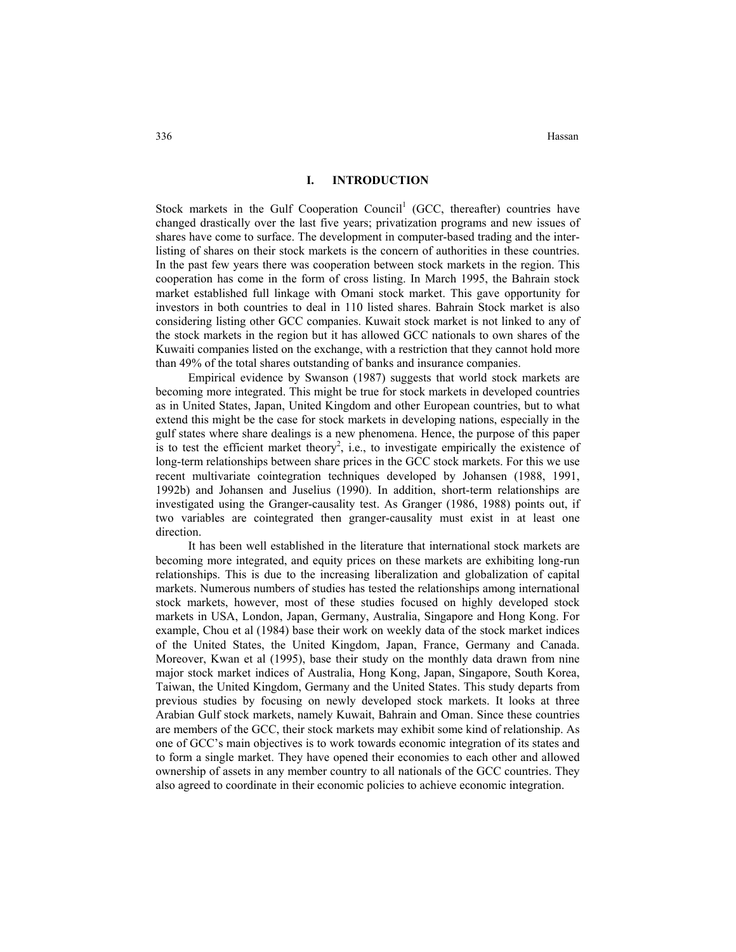336 **Hassan** 

#### **I. INTRODUCTION**

Stock markets in the Gulf Cooperation Council<sup>1</sup> (GCC, thereafter) countries have changed drastically over the last five years; privatization programs and new issues of shares have come to surface. The development in computer-based trading and the interlisting of shares on their stock markets is the concern of authorities in these countries. In the past few years there was cooperation between stock markets in the region. This cooperation has come in the form of cross listing. In March 1995, the Bahrain stock market established full linkage with Omani stock market. This gave opportunity for investors in both countries to deal in 110 listed shares. Bahrain Stock market is also considering listing other GCC companies. Kuwait stock market is not linked to any of the stock markets in the region but it has allowed GCC nationals to own shares of the Kuwaiti companies listed on the exchange, with a restriction that they cannot hold more than 49% of the total shares outstanding of banks and insurance companies.

Empirical evidence by Swanson (1987) suggests that world stock markets are becoming more integrated. This might be true for stock markets in developed countries as in United States, Japan, United Kingdom and other European countries, but to what extend this might be the case for stock markets in developing nations, especially in the gulf states where share dealings is a new phenomena. Hence, the purpose of this paper is to test the efficient market theory<sup>2</sup>, i.e., to investigate empirically the existence of long-term relationships between share prices in the GCC stock markets. For this we use recent multivariate cointegration techniques developed by Johansen (1988, 1991, 1992b) and Johansen and Juselius (1990). In addition, short-term relationships are investigated using the Granger-causality test. As Granger (1986, 1988) points out, if two variables are cointegrated then granger-causality must exist in at least one direction.

It has been well established in the literature that international stock markets are becoming more integrated, and equity prices on these markets are exhibiting long-run relationships. This is due to the increasing liberalization and globalization of capital markets. Numerous numbers of studies has tested the relationships among international stock markets, however, most of these studies focused on highly developed stock markets in USA, London, Japan, Germany, Australia, Singapore and Hong Kong. For example, Chou et al (1984) base their work on weekly data of the stock market indices of the United States, the United Kingdom, Japan, France, Germany and Canada. Moreover, Kwan et al (1995), base their study on the monthly data drawn from nine major stock market indices of Australia, Hong Kong, Japan, Singapore, South Korea, Taiwan, the United Kingdom, Germany and the United States. This study departs from previous studies by focusing on newly developed stock markets. It looks at three Arabian Gulf stock markets, namely Kuwait, Bahrain and Oman. Since these countries are members of the GCC, their stock markets may exhibit some kind of relationship. As one of GCC's main objectives is to work towards economic integration of its states and to form a single market. They have opened their economies to each other and allowed ownership of assets in any member country to all nationals of the GCC countries. They also agreed to coordinate in their economic policies to achieve economic integration.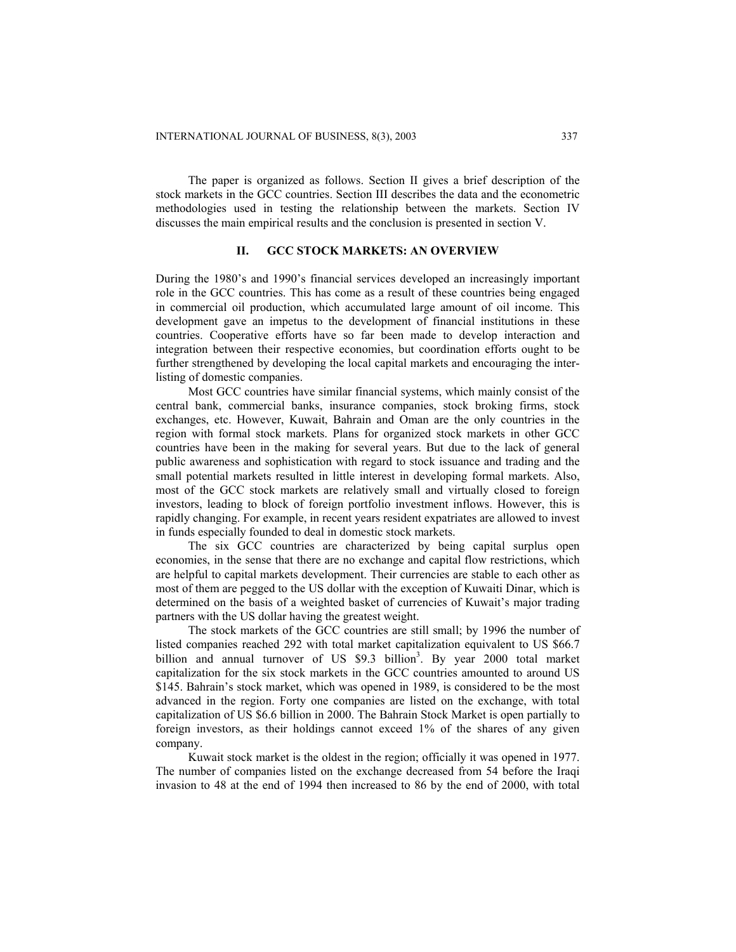The paper is organized as follows. Section II gives a brief description of the stock markets in the GCC countries. Section III describes the data and the econometric methodologies used in testing the relationship between the markets. Section IV discusses the main empirical results and the conclusion is presented in section V.

## **II. GCC STOCK MARKETS: AN OVERVIEW**

During the 1980's and 1990's financial services developed an increasingly important role in the GCC countries. This has come as a result of these countries being engaged in commercial oil production, which accumulated large amount of oil income. This development gave an impetus to the development of financial institutions in these countries. Cooperative efforts have so far been made to develop interaction and integration between their respective economies, but coordination efforts ought to be further strengthened by developing the local capital markets and encouraging the interlisting of domestic companies.

Most GCC countries have similar financial systems, which mainly consist of the central bank, commercial banks, insurance companies, stock broking firms, stock exchanges, etc. However, Kuwait, Bahrain and Oman are the only countries in the region with formal stock markets. Plans for organized stock markets in other GCC countries have been in the making for several years. But due to the lack of general public awareness and sophistication with regard to stock issuance and trading and the small potential markets resulted in little interest in developing formal markets. Also, most of the GCC stock markets are relatively small and virtually closed to foreign investors, leading to block of foreign portfolio investment inflows. However, this is rapidly changing. For example, in recent years resident expatriates are allowed to invest in funds especially founded to deal in domestic stock markets.

The six GCC countries are characterized by being capital surplus open economies, in the sense that there are no exchange and capital flow restrictions, which are helpful to capital markets development. Their currencies are stable to each other as most of them are pegged to the US dollar with the exception of Kuwaiti Dinar, which is determined on the basis of a weighted basket of currencies of Kuwait's major trading partners with the US dollar having the greatest weight.

The stock markets of the GCC countries are still small; by 1996 the number of listed companies reached 292 with total market capitalization equivalent to US \$66.7 billion and annual turnover of US \$9.3 billion<sup>3</sup>. By year 2000 total market capitalization for the six stock markets in the GCC countries amounted to around US \$145. Bahrain's stock market, which was opened in 1989, is considered to be the most advanced in the region. Forty one companies are listed on the exchange, with total capitalization of US \$6.6 billion in 2000. The Bahrain Stock Market is open partially to foreign investors, as their holdings cannot exceed 1% of the shares of any given company.

Kuwait stock market is the oldest in the region; officially it was opened in 1977. The number of companies listed on the exchange decreased from 54 before the Iraqi invasion to 48 at the end of 1994 then increased to 86 by the end of 2000, with total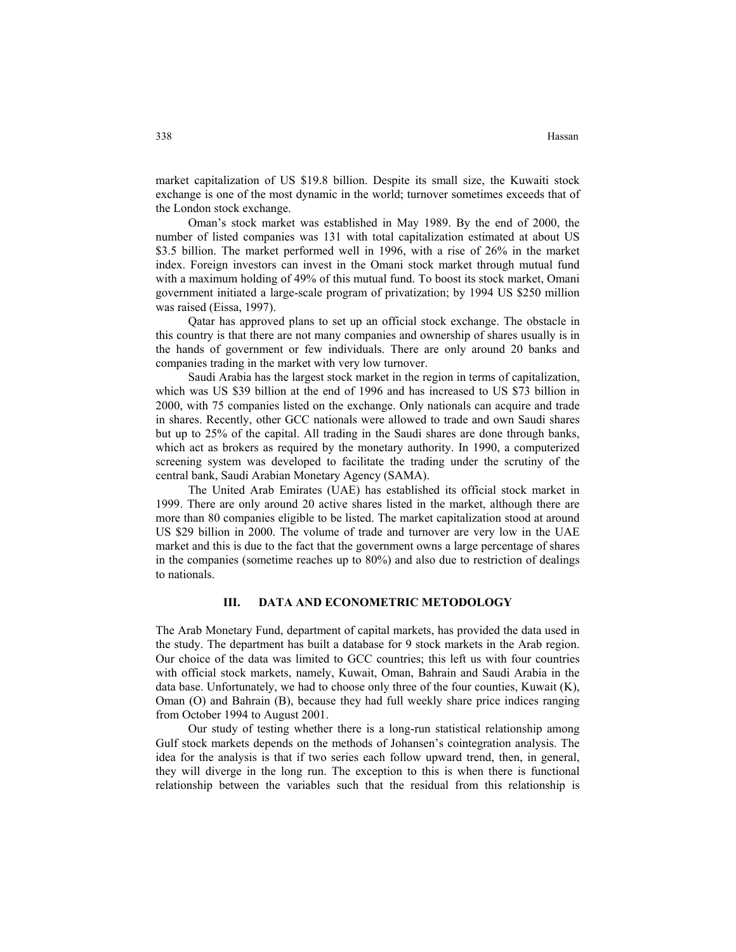market capitalization of US \$19.8 billion. Despite its small size, the Kuwaiti stock exchange is one of the most dynamic in the world; turnover sometimes exceeds that of the London stock exchange.

Oman's stock market was established in May 1989. By the end of 2000, the number of listed companies was 131 with total capitalization estimated at about US \$3.5 billion. The market performed well in 1996, with a rise of 26% in the market index. Foreign investors can invest in the Omani stock market through mutual fund with a maximum holding of 49% of this mutual fund. To boost its stock market, Omani government initiated a large-scale program of privatization; by 1994 US \$250 million was raised (Eissa, 1997).

Qatar has approved plans to set up an official stock exchange. The obstacle in this country is that there are not many companies and ownership of shares usually is in the hands of government or few individuals. There are only around 20 banks and companies trading in the market with very low turnover.

Saudi Arabia has the largest stock market in the region in terms of capitalization, which was US \$39 billion at the end of 1996 and has increased to US \$73 billion in 2000, with 75 companies listed on the exchange. Only nationals can acquire and trade in shares. Recently, other GCC nationals were allowed to trade and own Saudi shares but up to 25% of the capital. All trading in the Saudi shares are done through banks, which act as brokers as required by the monetary authority. In 1990, a computerized screening system was developed to facilitate the trading under the scrutiny of the central bank, Saudi Arabian Monetary Agency (SAMA).

The United Arab Emirates (UAE) has established its official stock market in 1999. There are only around 20 active shares listed in the market, although there are more than 80 companies eligible to be listed. The market capitalization stood at around US \$29 billion in 2000. The volume of trade and turnover are very low in the UAE market and this is due to the fact that the government owns a large percentage of shares in the companies (sometime reaches up to 80%) and also due to restriction of dealings to nationals.

#### **III. DATA AND ECONOMETRIC METODOLOGY**

The Arab Monetary Fund, department of capital markets, has provided the data used in the study. The department has built a database for 9 stock markets in the Arab region. Our choice of the data was limited to GCC countries; this left us with four countries with official stock markets, namely, Kuwait, Oman, Bahrain and Saudi Arabia in the data base. Unfortunately, we had to choose only three of the four counties, Kuwait (K), Oman (O) and Bahrain (B), because they had full weekly share price indices ranging from October 1994 to August 2001.

Our study of testing whether there is a long-run statistical relationship among Gulf stock markets depends on the methods of Johansen's cointegration analysis. The idea for the analysis is that if two series each follow upward trend, then, in general, they will diverge in the long run. The exception to this is when there is functional relationship between the variables such that the residual from this relationship is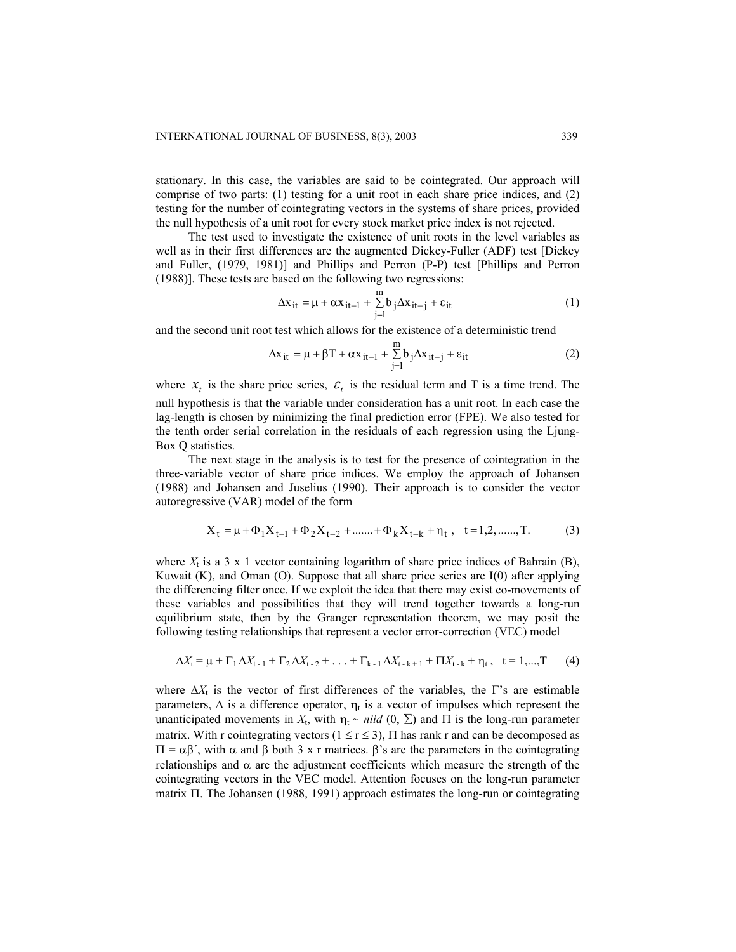stationary. In this case, the variables are said to be cointegrated. Our approach will comprise of two parts: (1) testing for a unit root in each share price indices, and (2) testing for the number of cointegrating vectors in the systems of share prices, provided the null hypothesis of a unit root for every stock market price index is not rejected.

The test used to investigate the existence of unit roots in the level variables as well as in their first differences are the augmented Dickey-Fuller (ADF) test [Dickey and Fuller, (1979, 1981)] and Phillips and Perron (P-P) test [Phillips and Perron (1988)]. These tests are based on the following two regressions:

$$
\Delta x_{it} = \mu + \alpha x_{it-1} + \sum_{j=1}^{m} b_j \Delta x_{it-j} + \varepsilon_{it}
$$
 (1)

and the second unit root test which allows for the existence of a deterministic trend

$$
\Delta x_{it} = \mu + \beta T + \alpha x_{it-1} + \sum_{j=1}^{m} b_j \Delta x_{it-j} + \varepsilon_{it}
$$
 (2)

where  $x_t$  is the share price series,  $\varepsilon_t$  is the residual term and T is a time trend. The null hypothesis is that the variable under consideration has a unit root. In each case the lag-length is chosen by minimizing the final prediction error (FPE). We also tested for the tenth order serial correlation in the residuals of each regression using the Ljung-Box Q statistics.

The next stage in the analysis is to test for the presence of cointegration in the three-variable vector of share price indices. We employ the approach of Johansen (1988) and Johansen and Juselius (1990). Their approach is to consider the vector autoregressive (VAR) model of the form

$$
X_t = \mu + \Phi_1 X_{t-1} + \Phi_2 X_{t-2} + \dots + \Phi_k X_{t-k} + \eta_t, \quad t = 1, 2, \dots, T. \tag{3}
$$

where  $X_t$  is a 3 x 1 vector containing logarithm of share price indices of Bahrain (B), Kuwait (K), and Oman (O). Suppose that all share price series are I(0) after applying the differencing filter once. If we exploit the idea that there may exist co-movements of these variables and possibilities that they will trend together towards a long-run equilibrium state, then by the Granger representation theorem, we may posit the following testing relationships that represent a vector error-correction (VEC) model

$$
\Delta X_t = \mu + \Gamma_1 \Delta X_{t-1} + \Gamma_2 \Delta X_{t-2} + \ldots + \Gamma_{k-1} \Delta X_{t-k+1} + \Pi X_{t-k} + \eta_t, \quad t = 1,...,T \tag{4}
$$

where  $\Delta X_t$  is the vector of first differences of the variables, the Γ's are estimable parameters,  $\Delta$  is a difference operator,  $η_t$  is a vector of impulses which represent the unanticipated movements in  $X_t$ , with  $\eta_t \sim \text{niid}(0, \Sigma)$  and  $\Pi$  is the long-run parameter matrix. With r cointegrating vectors  $(1 \le r \le 3)$ ,  $\Pi$  has rank r and can be decomposed as  $\Pi = \alpha \beta'$ , with  $\alpha$  and  $\beta$  both 3 x r matrices.  $\beta'$  s are the parameters in the cointegrating relationships and  $\alpha$  are the adjustment coefficients which measure the strength of the cointegrating vectors in the VEC model. Attention focuses on the long-run parameter matrix Π. The Johansen (1988, 1991) approach estimates the long-run or cointegrating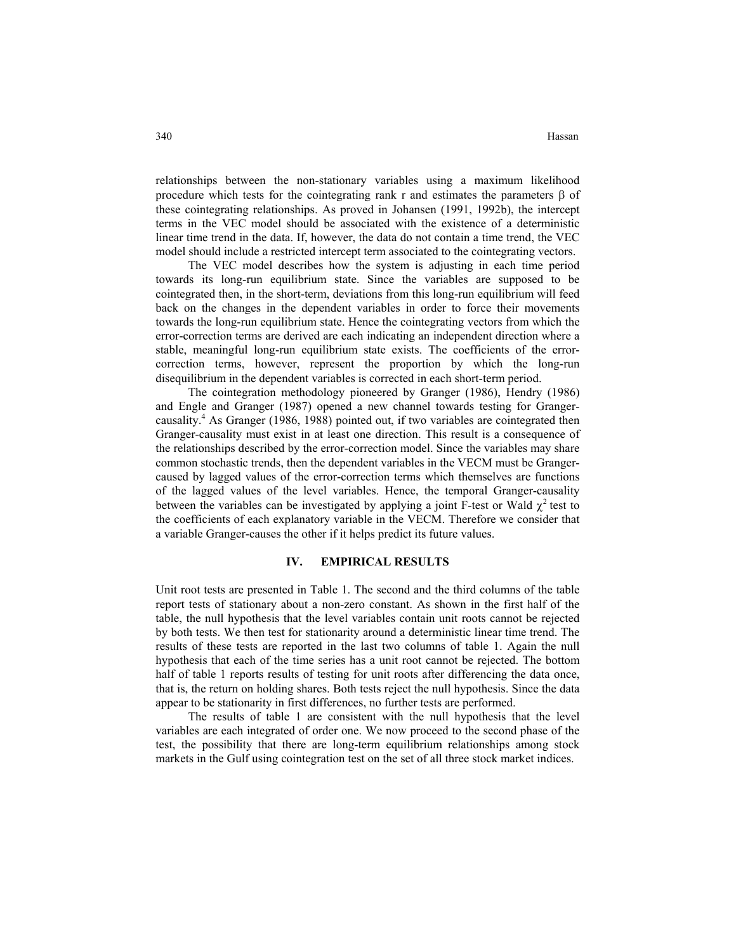relationships between the non-stationary variables using a maximum likelihood procedure which tests for the cointegrating rank r and estimates the parameters β of these cointegrating relationships. As proved in Johansen (1991, 1992b), the intercept terms in the VEC model should be associated with the existence of a deterministic linear time trend in the data. If, however, the data do not contain a time trend, the VEC model should include a restricted intercept term associated to the cointegrating vectors.

The VEC model describes how the system is adjusting in each time period towards its long-run equilibrium state. Since the variables are supposed to be cointegrated then, in the short-term, deviations from this long-run equilibrium will feed back on the changes in the dependent variables in order to force their movements towards the long-run equilibrium state. Hence the cointegrating vectors from which the error-correction terms are derived are each indicating an independent direction where a stable, meaningful long-run equilibrium state exists. The coefficients of the errorcorrection terms, however, represent the proportion by which the long-run disequilibrium in the dependent variables is corrected in each short-term period.

The cointegration methodology pioneered by Granger (1986), Hendry (1986) and Engle and Granger (1987) opened a new channel towards testing for Grangercausality.<sup>4</sup> As Granger (1986, 1988) pointed out, if two variables are cointegrated then Granger-causality must exist in at least one direction. This result is a consequence of the relationships described by the error-correction model. Since the variables may share common stochastic trends, then the dependent variables in the VECM must be Grangercaused by lagged values of the error-correction terms which themselves are functions of the lagged values of the level variables. Hence, the temporal Granger-causality between the variables can be investigated by applying a joint F-test or Wald  $\chi^2$  test to the coefficients of each explanatory variable in the VECM. Therefore we consider that a variable Granger-causes the other if it helps predict its future values.

## **IV. EMPIRICAL RESULTS**

Unit root tests are presented in Table 1. The second and the third columns of the table report tests of stationary about a non-zero constant. As shown in the first half of the table, the null hypothesis that the level variables contain unit roots cannot be rejected by both tests. We then test for stationarity around a deterministic linear time trend. The results of these tests are reported in the last two columns of table 1. Again the null hypothesis that each of the time series has a unit root cannot be rejected. The bottom half of table 1 reports results of testing for unit roots after differencing the data once, that is, the return on holding shares. Both tests reject the null hypothesis. Since the data appear to be stationarity in first differences, no further tests are performed.

The results of table 1 are consistent with the null hypothesis that the level variables are each integrated of order one. We now proceed to the second phase of the test, the possibility that there are long-term equilibrium relationships among stock markets in the Gulf using cointegration test on the set of all three stock market indices.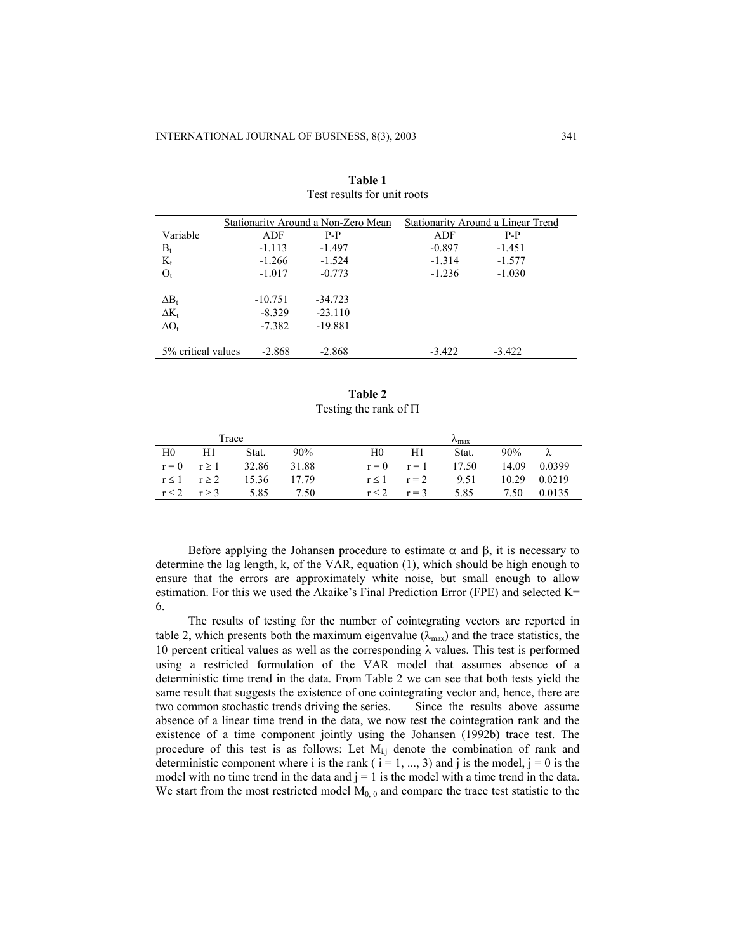|                    |           | Stationarity Around a Non-Zero Mean |          | Stationarity Around a Linear Trend |  |
|--------------------|-----------|-------------------------------------|----------|------------------------------------|--|
| Variable           | ADF       | $P-P$                               | ADF      | $P-P$                              |  |
| $B_t$              | $-1.113$  | $-1.497$                            | $-0.897$ | $-1.451$                           |  |
| $K_t$              | $-1.266$  | $-1.524$                            | $-1.314$ | $-1.577$                           |  |
| $O_t$              | $-1.017$  | $-0.773$                            | $-1.236$ | $-1.030$                           |  |
|                    |           |                                     |          |                                    |  |
| $\Delta B_t$       | $-10.751$ | $-34.723$                           |          |                                    |  |
| $\Delta K_t$       | $-8.329$  | $-23.110$                           |          |                                    |  |
| $\Delta O_t$       | $-7.382$  | $-19.881$                           |          |                                    |  |
|                    |           |                                     |          |                                    |  |
| 5% critical values | $-2.868$  | $-2.868$                            | $-3.422$ | $-3.422$                           |  |

**Table 1** Test results for unit roots

**Table 2** Testing the rank of Π

|                       |                       | Trace |       |                |                    | $\lambda_{\text{max}}$ |       |           |
|-----------------------|-----------------------|-------|-------|----------------|--------------------|------------------------|-------|-----------|
| H <sub>0</sub>        | H1                    | Stat. | 90%   | H <sub>0</sub> | H1                 | Stat.                  | 90%   | $\lambda$ |
|                       | $r=0$ $r\geq 1$       | 32.86 | 31.88 |                |                    | $r = 0$ $r = 1$ 17.50  | 14.09 | 0.0399    |
|                       | $r \leq 1$ $r \geq 2$ | 15.36 | 17.79 |                | $r \leq 1$ $r = 2$ | 9.51                   | 10.29 | 0.0219    |
| $r \leq 2$ $r \geq 3$ |                       | 5.85  | 7.50  | $r \leq 2$     | $r = 3$            | 5.85                   | 7.50  | 0.0135    |

Before applying the Johansen procedure to estimate  $\alpha$  and  $\beta$ , it is necessary to determine the lag length, k, of the VAR, equation (1), which should be high enough to ensure that the errors are approximately white noise, but small enough to allow estimation. For this we used the Akaike's Final Prediction Error (FPE) and selected K= 6.

The results of testing for the number of cointegrating vectors are reported in table 2, which presents both the maximum eigenvalue ( $\lambda_{\text{max}}$ ) and the trace statistics, the 10 percent critical values as well as the corresponding  $\lambda$  values. This test is performed using a restricted formulation of the VAR model that assumes absence of a deterministic time trend in the data. From Table 2 we can see that both tests yield the same result that suggests the existence of one cointegrating vector and, hence, there are two common stochastic trends driving the series. Since the results above assume absence of a linear time trend in the data, we now test the cointegration rank and the existence of a time component jointly using the Johansen (1992b) trace test. The procedure of this test is as follows: Let  $M_{i,j}$  denote the combination of rank and deterministic component where i is the rank ( $i = 1, ..., 3$ ) and j is the model,  $j = 0$  is the model with no time trend in the data and  $j = 1$  is the model with a time trend in the data. We start from the most restricted model  $M<sub>0, 0</sub>$  and compare the trace test statistic to the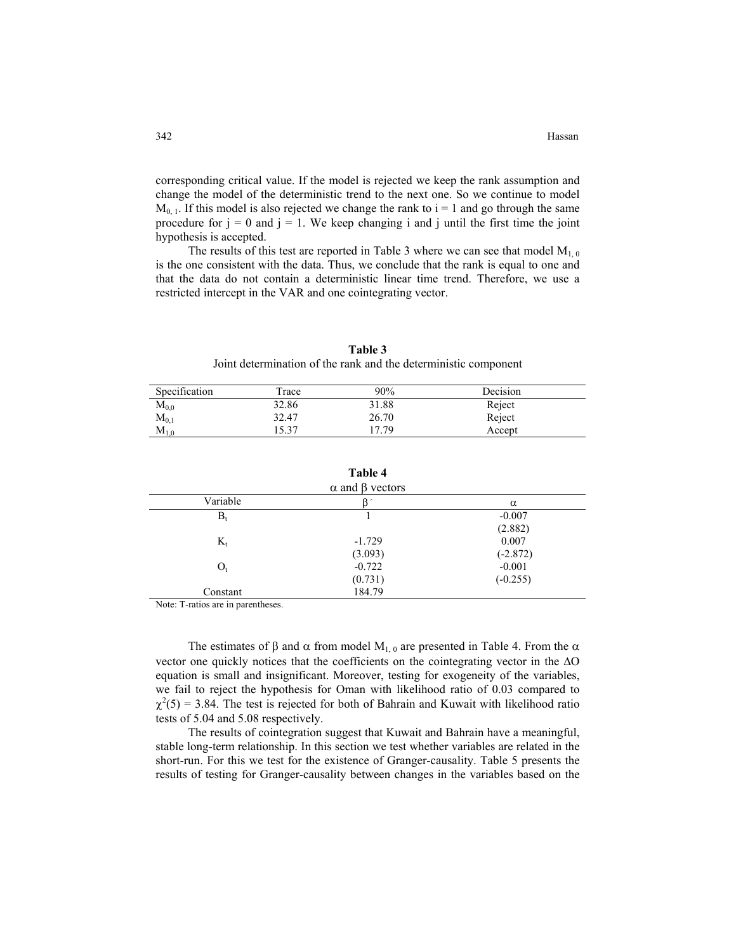corresponding critical value. If the model is rejected we keep the rank assumption and change the model of the deterministic trend to the next one. So we continue to model  $M<sub>0, 1</sub>$ . If this model is also rejected we change the rank to  $i = 1$  and go through the same procedure for  $j = 0$  and  $j = 1$ . We keep changing i and j until the first time the joint hypothesis is accepted.

The results of this test are reported in Table 3 where we can see that model  $M_{1,0}$ is the one consistent with the data. Thus, we conclude that the rank is equal to one and that the data do not contain a deterministic linear time trend. Therefore, we use a restricted intercept in the VAR and one cointegrating vector.

| Specification                         | Trace | 90%   | Decision |
|---------------------------------------|-------|-------|----------|
|                                       | 32.86 | 31.88 | Reject   |
| $\mathbf{M}_{0,0}$ $\mathbf{M}_{0,1}$ | 32.47 | 26.70 | Reject   |
| $M_{1,0}$                             | 15.37 | 17.79 | Accept   |

**Table 3** Joint determination of the rank and the deterministic component

| Table 4<br>$\alpha$ and $\beta$ vectors |          |            |  |  |
|-----------------------------------------|----------|------------|--|--|
|                                         |          |            |  |  |
| $B_t$                                   |          | $-0.007$   |  |  |
|                                         |          | (2.882)    |  |  |
| $K_t$                                   | $-1.729$ | 0.007      |  |  |
|                                         | (3.093)  | $(-2.872)$ |  |  |
| $O_t$                                   | $-0.722$ | $-0.001$   |  |  |
|                                         | (0.731)  | $(-0.255)$ |  |  |
| Constant                                | 184.79   |            |  |  |

Note: T-ratios are in parentheses.

The estimates of  $\beta$  and  $\alpha$  from model M<sub>1,0</sub> are presented in Table 4. From the  $\alpha$ vector one quickly notices that the coefficients on the cointegrating vector in the ∆O equation is small and insignificant. Moreover, testing for exogeneity of the variables, we fail to reject the hypothesis for Oman with likelihood ratio of 0.03 compared to  $\chi^2(5) = 3.84$ . The test is rejected for both of Bahrain and Kuwait with likelihood ratio tests of 5.04 and 5.08 respectively.

The results of cointegration suggest that Kuwait and Bahrain have a meaningful, stable long-term relationship. In this section we test whether variables are related in the short-run. For this we test for the existence of Granger-causality. Table 5 presents the results of testing for Granger-causality between changes in the variables based on the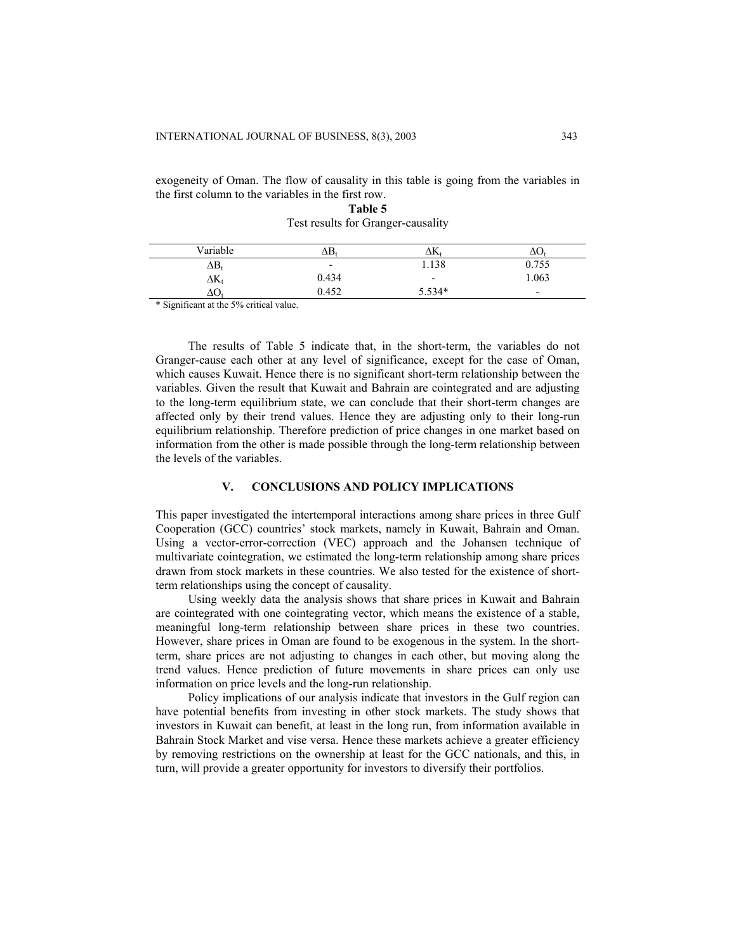exogeneity of Oman. The flow of causality in this table is going from the variables in the first column to the variables in the first row.

| Table 5                            |
|------------------------------------|
| Test results for Granger-causality |

| Variable     | ΔВ                       | ΔN.                      | ΔU                       |
|--------------|--------------------------|--------------------------|--------------------------|
| ΔB,          | $\overline{\phantom{a}}$ | 1.138                    | 0.755                    |
| $\Delta N_t$ | 0.434                    | $\overline{\phantom{a}}$ | 1.063                    |
| $\Delta O_t$ | 0.452                    | 5.534*                   | $\overline{\phantom{0}}$ |

\* Significant at the 5% critical value.

The results of Table 5 indicate that, in the short-term, the variables do not Granger-cause each other at any level of significance, except for the case of Oman, which causes Kuwait. Hence there is no significant short-term relationship between the variables. Given the result that Kuwait and Bahrain are cointegrated and are adjusting to the long-term equilibrium state, we can conclude that their short-term changes are affected only by their trend values. Hence they are adjusting only to their long-run equilibrium relationship. Therefore prediction of price changes in one market based on information from the other is made possible through the long-term relationship between the levels of the variables.

## **V. CONCLUSIONS AND POLICY IMPLICATIONS**

This paper investigated the intertemporal interactions among share prices in three Gulf Cooperation (GCC) countries' stock markets, namely in Kuwait, Bahrain and Oman. Using a vector-error-correction (VEC) approach and the Johansen technique of multivariate cointegration, we estimated the long-term relationship among share prices drawn from stock markets in these countries. We also tested for the existence of shortterm relationships using the concept of causality.

Using weekly data the analysis shows that share prices in Kuwait and Bahrain are cointegrated with one cointegrating vector, which means the existence of a stable, meaningful long-term relationship between share prices in these two countries. However, share prices in Oman are found to be exogenous in the system. In the shortterm, share prices are not adjusting to changes in each other, but moving along the trend values. Hence prediction of future movements in share prices can only use information on price levels and the long-run relationship.

Policy implications of our analysis indicate that investors in the Gulf region can have potential benefits from investing in other stock markets. The study shows that investors in Kuwait can benefit, at least in the long run, from information available in Bahrain Stock Market and vise versa. Hence these markets achieve a greater efficiency by removing restrictions on the ownership at least for the GCC nationals, and this, in turn, will provide a greater opportunity for investors to diversify their portfolios.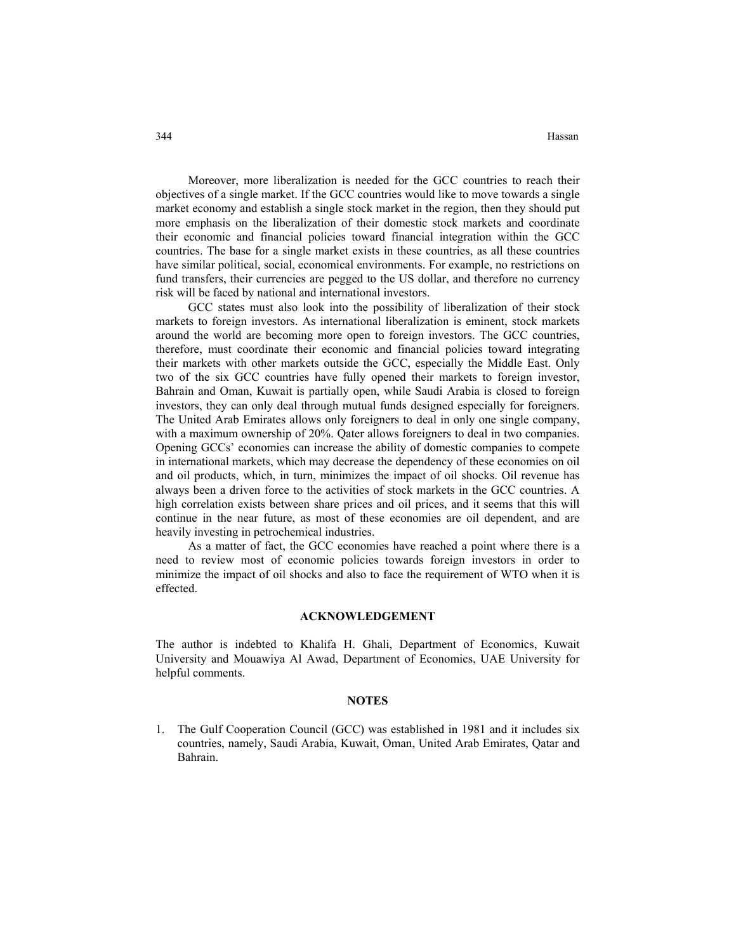Moreover, more liberalization is needed for the GCC countries to reach their objectives of a single market. If the GCC countries would like to move towards a single market economy and establish a single stock market in the region, then they should put more emphasis on the liberalization of their domestic stock markets and coordinate their economic and financial policies toward financial integration within the GCC countries. The base for a single market exists in these countries, as all these countries have similar political, social, economical environments. For example, no restrictions on fund transfers, their currencies are pegged to the US dollar, and therefore no currency risk will be faced by national and international investors.

GCC states must also look into the possibility of liberalization of their stock markets to foreign investors. As international liberalization is eminent, stock markets around the world are becoming more open to foreign investors. The GCC countries, therefore, must coordinate their economic and financial policies toward integrating their markets with other markets outside the GCC, especially the Middle East. Only two of the six GCC countries have fully opened their markets to foreign investor, Bahrain and Oman, Kuwait is partially open, while Saudi Arabia is closed to foreign investors, they can only deal through mutual funds designed especially for foreigners. The United Arab Emirates allows only foreigners to deal in only one single company, with a maximum ownership of 20%. Qater allows foreigners to deal in two companies. Opening GCCs' economies can increase the ability of domestic companies to compete in international markets, which may decrease the dependency of these economies on oil and oil products, which, in turn, minimizes the impact of oil shocks. Oil revenue has always been a driven force to the activities of stock markets in the GCC countries. A high correlation exists between share prices and oil prices, and it seems that this will continue in the near future, as most of these economies are oil dependent, and are heavily investing in petrochemical industries.

As a matter of fact, the GCC economies have reached a point where there is a need to review most of economic policies towards foreign investors in order to minimize the impact of oil shocks and also to face the requirement of WTO when it is effected.

### **ACKNOWLEDGEMENT**

The author is indebted to Khalifa H. Ghali, Department of Economics, Kuwait University and Mouawiya Al Awad, Department of Economics, UAE University for helpful comments.

#### **NOTES**

1. The Gulf Cooperation Council (GCC) was established in 1981 and it includes six countries, namely, Saudi Arabia, Kuwait, Oman, United Arab Emirates, Qatar and Bahrain.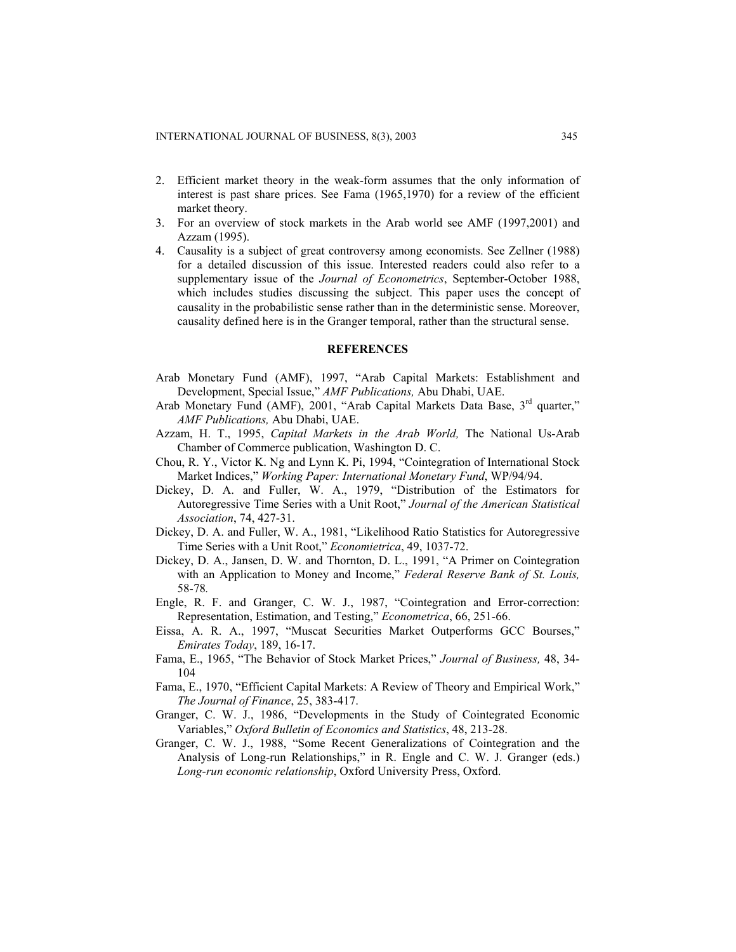- 2. Efficient market theory in the weak-form assumes that the only information of interest is past share prices. See Fama (1965,1970) for a review of the efficient market theory.
- 3. For an overview of stock markets in the Arab world see AMF (1997,2001) and Azzam (1995).
- 4. Causality is a subject of great controversy among economists. See Zellner (1988) for a detailed discussion of this issue. Interested readers could also refer to a supplementary issue of the *Journal of Econometrics*, September-October 1988, which includes studies discussing the subject. This paper uses the concept of causality in the probabilistic sense rather than in the deterministic sense. Moreover, causality defined here is in the Granger temporal, rather than the structural sense.

## **REFERENCES**

- Arab Monetary Fund (AMF), 1997, "Arab Capital Markets: Establishment and Development, Special Issue," *AMF Publications,* Abu Dhabi, UAE.
- Arab Monetary Fund (AMF), 2001, "Arab Capital Markets Data Base, 3rd quarter," *AMF Publications,* Abu Dhabi, UAE.
- Azzam, H. T., 1995, *Capital Markets in the Arab World,* The National Us-Arab Chamber of Commerce publication, Washington D. C.
- Chou, R. Y., Victor K. Ng and Lynn K. Pi, 1994, "Cointegration of International Stock Market Indices," *Working Paper: International Monetary Fund*, WP/94/94.
- Dickey, D. A. and Fuller, W. A., 1979, "Distribution of the Estimators for Autoregressive Time Series with a Unit Root," *Journal of the American Statistical Association*, 74, 427-31.
- Dickey, D. A. and Fuller, W. A., 1981, "Likelihood Ratio Statistics for Autoregressive Time Series with a Unit Root," *Economietrica*, 49, 1037-72.
- Dickey, D. A., Jansen, D. W. and Thornton, D. L., 1991, "A Primer on Cointegration with an Application to Money and Income," *Federal Reserve Bank of St. Louis,* 58-78*.*
- Engle, R. F. and Granger, C. W. J., 1987, "Cointegration and Error-correction: Representation, Estimation, and Testing," *Econometrica*, 66, 251-66.
- Eissa, A. R. A., 1997, "Muscat Securities Market Outperforms GCC Bourses," *Emirates Today*, 189, 16-17.
- Fama, E., 1965, "The Behavior of Stock Market Prices," *Journal of Business,* 48, 34- 104
- Fama, E., 1970, "Efficient Capital Markets: A Review of Theory and Empirical Work," *The Journal of Finance*, 25, 383-417.
- Granger, C. W. J., 1986, "Developments in the Study of Cointegrated Economic Variables," *Oxford Bulletin of Economics and Statistics*, 48, 213-28.
- Granger, C. W. J., 1988, "Some Recent Generalizations of Cointegration and the Analysis of Long-run Relationships," in R. Engle and C. W. J. Granger (eds.) *Long-run economic relationship*, Oxford University Press, Oxford.